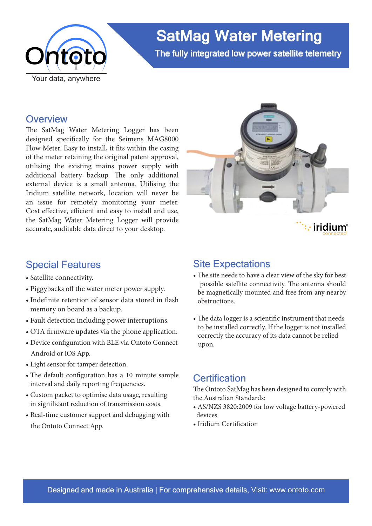

# SatMag Water Metering

The fully integrated low power satellite telemetry

### **Overview**

The SatMag Water Metering Logger has been designed specifically for the Seimens MAG8000 Flow Meter. Easy to install, it fits within the casing of the meter retaining the original patent approval, utilising the existing mains power supply with additional battery backup. The only additional external device is a small antenna. Utilising the Iridium satellite network, location will never be an issue for remotely monitoring your meter. Cost effective, efficient and easy to install and use, the SatMag Water Metering Logger will provide accurate, auditable data direct to your desktop.



# iridium®

# Special Features

- Satellite connectivity.
- Piggybacks off the water meter power supply.
- Indefinite retention of sensor data stored in flash memory on board as a backup.
- Fault detection including power interruptions.
- OTA firmware updates via the phone application.
- Device configuration with BLE via Ontoto Connect Android or iOS App.
- Light sensor for tamper detection.
- The default configuration has a 10 minute sample interval and daily reporting frequencies.
- Custom packet to optimise data usage, resulting in significant reduction of transmission costs.
- Real-time customer support and debugging with the Ontoto Connect App.

## Site Expectations

- The site needs to have a clear view of the sky for best possible satellite connectivity. The antenna should be magnetically mounted and free from any nearby obstructions.
- The data logger is a scientific instrument that needs to be installed correctly. If the logger is not installed correctly the accuracy of its data cannot be relied upon.

# **Certification**

The Ontoto SatMag has been designed to comply with the Australian Standards:

- AS/NZS 3820:2009 for low voltage battery-powered devices
- Iridium Certification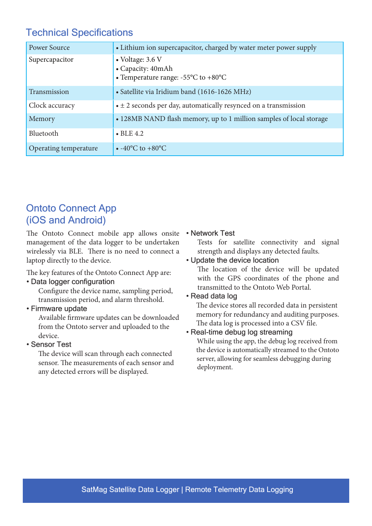# Technical Specifications

| <b>Power Source</b>   | • Lithium ion supercapacitor, charged by water meter power supply                                        |
|-----------------------|----------------------------------------------------------------------------------------------------------|
| Supercapacitor        | $\bullet$ Voltage: 3.6 V<br>• Capacity: 40mAh<br>• Temperature range: $-55^{\circ}$ C to $+80^{\circ}$ C |
| Transmission          | • Satellite via Iridium band (1616-1626 MHz)                                                             |
| Clock accuracy        | $\bullet \pm 2$ seconds per day, automatically resynced on a transmission                                |
| Memory                | • 128MB NAND flash memory, up to 1 million samples of local storage                                      |
| Bluetooth             | $\bullet$ BLE 4.2                                                                                        |
| Operating temperature | • $-40^{\circ}$ C to $+80^{\circ}$ C                                                                     |

# Ontoto Connect App (iOS and Android)

The Ontoto Connect mobile app allows onsite management of the data logger to be undertaken wirelessly via BLE. There is no need to connect a laptop directly to the device.

The key features of the Ontoto Connect App are:

#### • Data logger configuration

 Configure the device name, sampling period, transmission period, and alarm threshold.

• Firmware update

 Available firmware updates can be downloaded from the Ontoto server and uploaded to the device.

• Sensor Test

 The device will scan through each connected sensor. The measurements of each sensor and any detected errors will be displayed.

#### • Network Test

Tests for satellite connectivity and signal strength and displays any detected faults.

#### • Update the device location

The location of the device will be updated with the GPS coordinates of the phone and transmitted to the Ontoto Web Portal.

#### • Read data log

 The device stores all recorded data in persistent memory for redundancy and auditing purposes. The data log is processed into a CSV file.

#### • Real-time debug log streaming

 While using the app, the debug log received from the device is automatically streamed to the Ontoto server, allowing for seamless debugging during deployment.